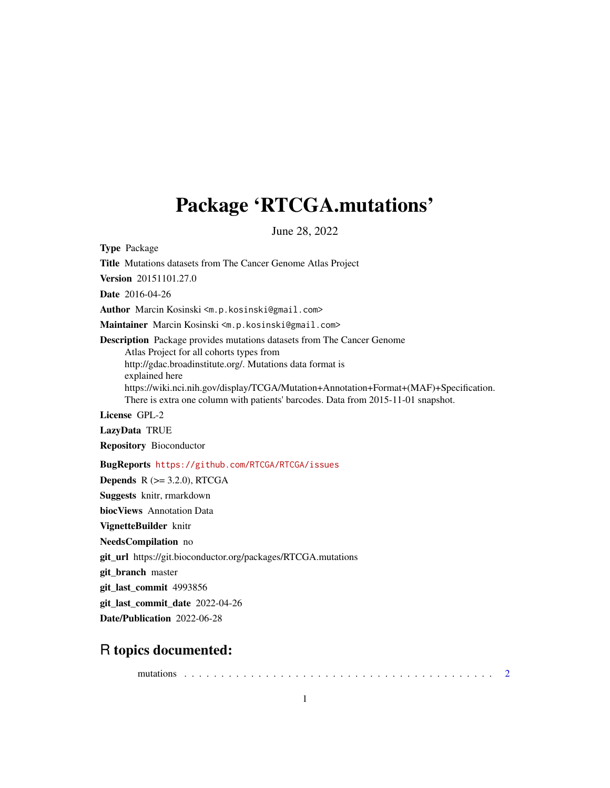## <span id="page-0-0"></span>Package 'RTCGA.mutations'

June 28, 2022

Type Package

Title Mutations datasets from The Cancer Genome Atlas Project

Version 20151101.27.0

Date 2016-04-26

Author Marcin Kosinski <m.p.kosinski@gmail.com>

Maintainer Marcin Kosinski <m.p.kosinski@gmail.com>

Description Package provides mutations datasets from The Cancer Genome Atlas Project for all cohorts types from http://gdac.broadinstitute.org/. Mutations data format is explained here https://wiki.nci.nih.gov/display/TCGA/Mutation+Annotation+Format+(MAF)+Specification. There is extra one column with patients' barcodes. Data from 2015-11-01 snapshot.

License GPL-2

LazyData TRUE

Repository Bioconductor

BugReports <https://github.com/RTCGA/RTCGA/issues>

**Depends**  $R$  ( $>= 3.2.0$ ), RTCGA

Suggests knitr, rmarkdown

biocViews Annotation Data

VignetteBuilder knitr

NeedsCompilation no

git\_url https://git.bioconductor.org/packages/RTCGA.mutations

git\_branch master

git\_last\_commit 4993856

git\_last\_commit\_date 2022-04-26

Date/Publication 2022-06-28

### R topics documented:

mutations . . . . . . . . . . . . . . . . . . . . . . . . . . . . . . . . . . . . . . . . . . [2](#page-1-0)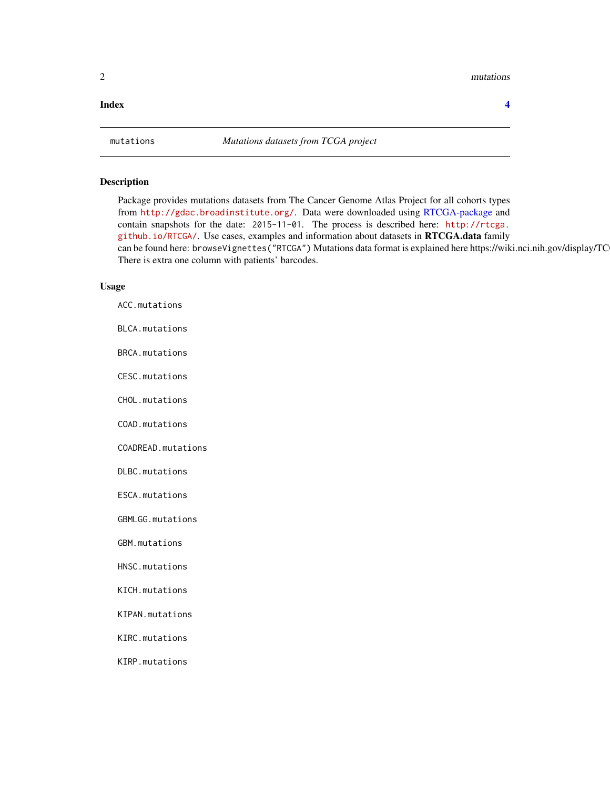#### <span id="page-1-0"></span>2 mutations and  $\mathbb{R}^n$  mutations are not in the set of  $\mathbb{R}^n$  mutations and  $\mathbb{R}^n$  mutations are not in the set of  $\mathbb{R}^n$  mutations are not in the set of  $\mathbb{R}^n$  mutations are not in the set of  $\mathbb{R}^n$

#### **Index** [4](#page-3-0)

#### Description

Package provides mutations datasets from The Cancer Genome Atlas Project for all cohorts types from <http://gdac.broadinstitute.org/>. Data were downloaded using [RTCGA-package](#page-0-0) and contain snapshots for the date: 2015-11-01. The process is described here: [http://rtcga.](http://rtcga.github.io/RTCGA/) [github.io/RTCGA/](http://rtcga.github.io/RTCGA/). Use cases, examples and information about datasets in RTCGA.data family can be found here: browseVignettes("RTCGA") Mutations data format is explained here https://wiki.nci.nih.gov/display/TC There is extra one column with patients' barcodes.

#### Usage

| ACC.mutations           |
|-------------------------|
| BLCA.mutations          |
| BRCA.mutations          |
| CESC.mutations          |
| CHOL.mutations          |
| COAD.mutations          |
| COADREAD.mutations      |
| DLBC.mutations          |
| ESCA.mutations          |
| <b>GBMLGG.mutations</b> |
| GBM.mutations           |
| HNSC.mutations          |
| KICH.mutations          |
| KIPAN.mutations         |
| KIRC.mutations          |
| KIRP.mutations          |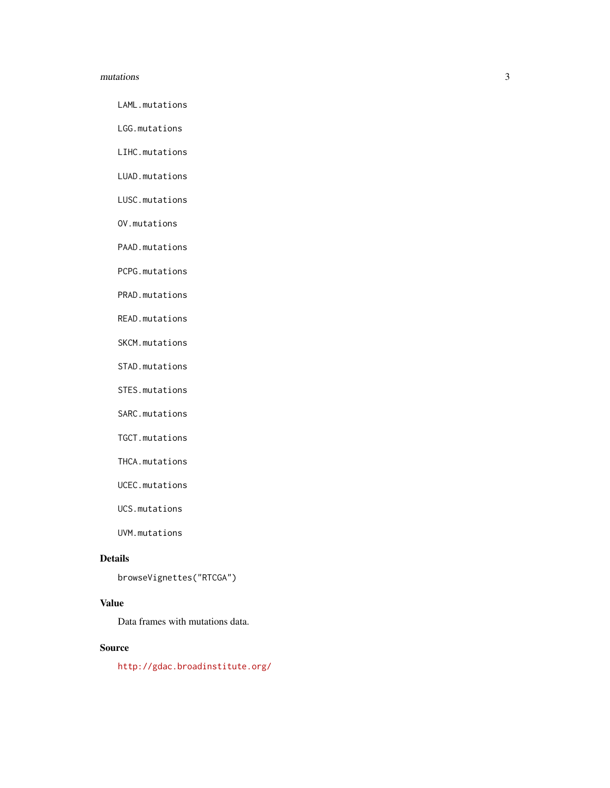#### mutations 3

LAML.mutations

LGG.mutations

LIHC.mutations

LUAD.mutations

LUSC.mutations

OV.mutations

PAAD.mutations

PCPG.mutations

PRAD.mutations

READ.mutations

SKCM.mutations

STAD.mutations

STES.mutations

SARC.mutations

TGCT.mutations

THCA.mutations

UCEC.mutations

UCS.mutations

UVM.mutations

#### Details

browseVignettes("RTCGA")

#### Value

Data frames with mutations data.

#### Source

<http://gdac.broadinstitute.org/>